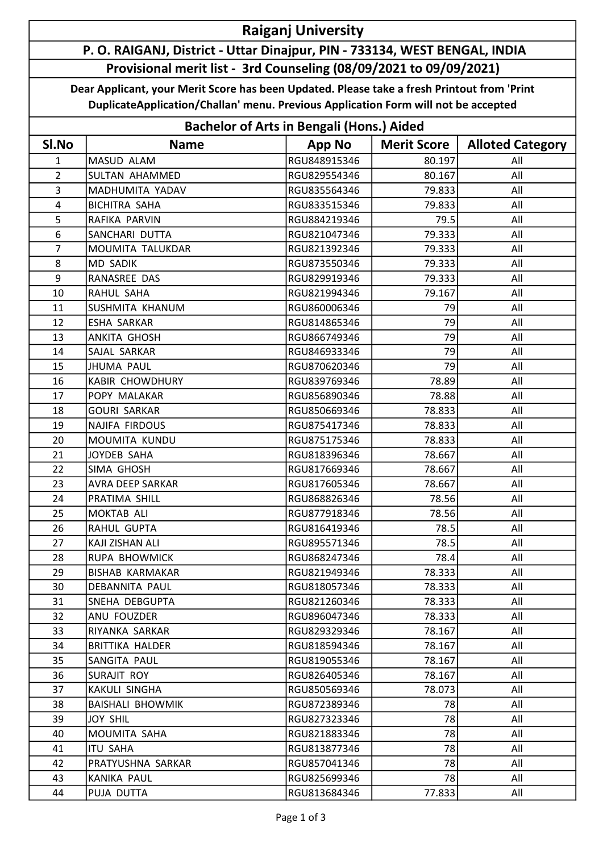## Raiganj University

## P. O. RAIGANJ, District - Uttar Dinajpur, PIN - 733134, WEST BENGAL, INDIA Provisional merit list - 3rd Counseling (08/09/2021 to 09/09/2021)

Dear Applicant, your Merit Score has been Updated. Please take a fresh Printout from 'Print DuplicateApplication/Challan' menu. Previous Application Form will not be accepted

| <b>Bachelor of Arts in Bengali (Hons.) Aided</b> |                         |               |                    |                         |  |  |  |
|--------------------------------------------------|-------------------------|---------------|--------------------|-------------------------|--|--|--|
| SI.No                                            | <b>Name</b>             | <b>App No</b> | <b>Merit Score</b> | <b>Alloted Category</b> |  |  |  |
| 1                                                | MASUD ALAM              | RGU848915346  | 80.197             | All                     |  |  |  |
| $\overline{2}$                                   | <b>SULTAN AHAMMED</b>   | RGU829554346  | 80.167             | All                     |  |  |  |
| 3                                                | MADHUMITA YADAV         | RGU835564346  | 79.833             | All                     |  |  |  |
| 4                                                | <b>BICHITRA SAHA</b>    | RGU833515346  | 79.833             | All                     |  |  |  |
| 5                                                | RAFIKA PARVIN           | RGU884219346  | 79.5               | All                     |  |  |  |
| 6                                                | SANCHARI DUTTA          | RGU821047346  | 79.333             | All                     |  |  |  |
| $\overline{7}$                                   | MOUMITA TALUKDAR        | RGU821392346  | 79.333             | All                     |  |  |  |
| 8                                                | <b>MD SADIK</b>         | RGU873550346  | 79.333             | All                     |  |  |  |
| 9                                                | RANASREE DAS            | RGU829919346  | 79.333             | All                     |  |  |  |
| 10                                               | RAHUL SAHA              | RGU821994346  | 79.167             | All                     |  |  |  |
| 11                                               | SUSHMITA KHANUM         | RGU860006346  | 79                 | All                     |  |  |  |
| 12                                               | <b>ESHA SARKAR</b>      | RGU814865346  | 79                 | All                     |  |  |  |
| 13                                               | ANKITA GHOSH            | RGU866749346  | 79                 | All                     |  |  |  |
| 14                                               | SAJAL SARKAR            | RGU846933346  | 79                 | All                     |  |  |  |
| 15                                               | JHUMA PAUL              | RGU870620346  | 79                 | All                     |  |  |  |
| 16                                               | <b>KABIR CHOWDHURY</b>  | RGU839769346  | 78.89              | All                     |  |  |  |
| 17                                               | POPY MALAKAR            | RGU856890346  | 78.88              | All                     |  |  |  |
| 18                                               | <b>GOURI SARKAR</b>     | RGU850669346  | 78.833             | All                     |  |  |  |
| 19                                               | <b>NAJIFA FIRDOUS</b>   | RGU875417346  | 78.833             | All                     |  |  |  |
| 20                                               | MOUMITA KUNDU           | RGU875175346  | 78.833             | All                     |  |  |  |
| 21                                               | JOYDEB SAHA             | RGU818396346  | 78.667             | All                     |  |  |  |
| 22                                               | SIMA GHOSH              | RGU817669346  | 78.667             | All                     |  |  |  |
| 23                                               | <b>AVRA DEEP SARKAR</b> | RGU817605346  | 78.667             | All                     |  |  |  |
| 24                                               | PRATIMA SHILL           | RGU868826346  | 78.56              | All                     |  |  |  |
| 25                                               | MOKTAB ALI              | RGU877918346  | 78.56              | All                     |  |  |  |
| 26                                               | RAHUL GUPTA             | RGU816419346  | 78.5               | All                     |  |  |  |
| 27                                               | KAJI ZISHAN ALI         | RGU895571346  | 78.5               | All                     |  |  |  |
| 28                                               | <b>RUPA BHOWMICK</b>    | RGU868247346  | 78.4               | All                     |  |  |  |
| 29                                               | <b>BISHAB KARMAKAR</b>  | RGU821949346  | 78.333             | All                     |  |  |  |
| 30                                               | DEBANNITA PAUL          | RGU818057346  | 78.333             | All                     |  |  |  |
| 31                                               | SNEHA DEBGUPTA          | RGU821260346  | 78.333             | All                     |  |  |  |
| 32                                               | ANU FOUZDER             | RGU896047346  | 78.333             | All                     |  |  |  |
| 33                                               | RIYANKA SARKAR          | RGU829329346  | 78.167             | All                     |  |  |  |
| 34                                               | BRITTIKA HALDER         | RGU818594346  | 78.167             | All                     |  |  |  |
| 35                                               | SANGITA PAUL            | RGU819055346  | 78.167             | All                     |  |  |  |
| 36                                               | SURAJIT ROY             | RGU826405346  | 78.167             | All                     |  |  |  |
| 37                                               | KAKULI SINGHA           | RGU850569346  | 78.073             | All                     |  |  |  |
| 38                                               | <b>BAISHALI BHOWMIK</b> | RGU872389346  | 78                 | All                     |  |  |  |
| 39                                               | <b>JOY SHIL</b>         | RGU827323346  | 78                 | All                     |  |  |  |
| 40                                               | MOUMITA SAHA            | RGU821883346  | 78                 | All                     |  |  |  |
| 41                                               | <b>ITU SAHA</b>         | RGU813877346  | 78                 | All                     |  |  |  |
| 42                                               | PRATYUSHNA SARKAR       | RGU857041346  | 78                 | All                     |  |  |  |
| 43                                               | <b>KANIKA PAUL</b>      | RGU825699346  | 78                 | All                     |  |  |  |
| 44                                               | PUJA DUTTA              | RGU813684346  | 77.833             | All                     |  |  |  |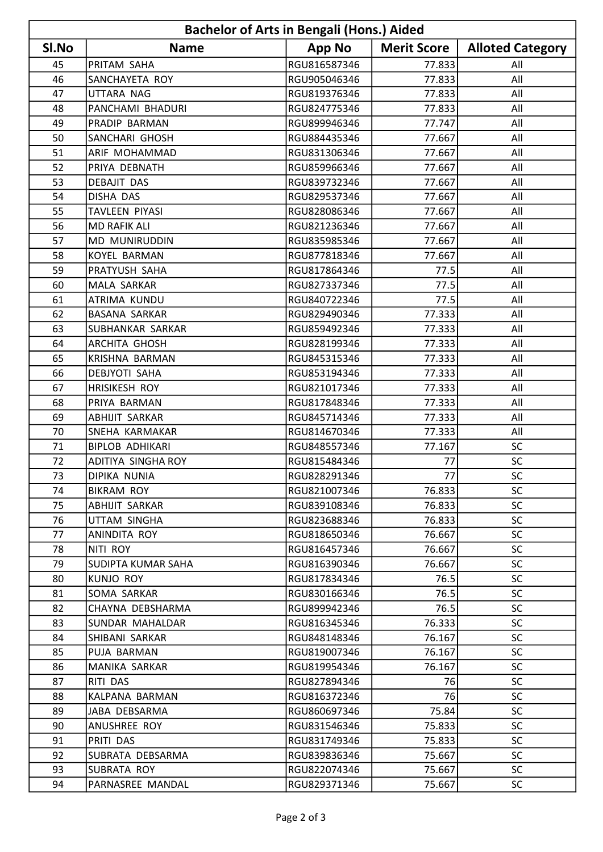| <b>Bachelor of Arts in Bengali (Hons.) Aided</b> |                           |               |                    |                         |  |  |  |
|--------------------------------------------------|---------------------------|---------------|--------------------|-------------------------|--|--|--|
| SI.No                                            | <b>Name</b>               | <b>App No</b> | <b>Merit Score</b> | <b>Alloted Category</b> |  |  |  |
| 45                                               | PRITAM SAHA               | RGU816587346  | 77.833             | All                     |  |  |  |
| 46                                               | SANCHAYETA ROY            | RGU905046346  | 77.833             | All                     |  |  |  |
| 47                                               | UTTARA NAG                | RGU819376346  | 77.833             | All                     |  |  |  |
| 48                                               | PANCHAMI BHADURI          | RGU824775346  | 77.833             | All                     |  |  |  |
| 49                                               | PRADIP BARMAN             | RGU899946346  | 77.747             | All                     |  |  |  |
| 50                                               | SANCHARI GHOSH            | RGU884435346  | 77.667             | All                     |  |  |  |
| 51                                               | ARIF MOHAMMAD             | RGU831306346  | 77.667             | All                     |  |  |  |
| 52                                               | PRIYA DEBNATH             | RGU859966346  | 77.667             | All                     |  |  |  |
| 53                                               | <b>DEBAJIT DAS</b>        | RGU839732346  | 77.667             | All                     |  |  |  |
| 54                                               | <b>DISHA DAS</b>          | RGU829537346  | 77.667             | All                     |  |  |  |
| 55                                               | TAVLEEN PIYASI            | RGU828086346  | 77.667             | All                     |  |  |  |
| 56                                               | <b>MD RAFIK ALI</b>       | RGU821236346  | 77.667             | All                     |  |  |  |
| 57                                               | <b>MD MUNIRUDDIN</b>      | RGU835985346  | 77.667             | All                     |  |  |  |
| 58                                               | <b>KOYEL BARMAN</b>       | RGU877818346  | 77.667             | All                     |  |  |  |
| 59                                               | PRATYUSH SAHA             | RGU817864346  | 77.5               | All                     |  |  |  |
| 60                                               | MALA SARKAR               | RGU827337346  | 77.5               | All                     |  |  |  |
| 61                                               | <b>ATRIMA KUNDU</b>       | RGU840722346  | 77.5               | All                     |  |  |  |
| 62                                               | <b>BASANA SARKAR</b>      | RGU829490346  | 77.333             | All                     |  |  |  |
| 63                                               | SUBHANKAR SARKAR          | RGU859492346  | 77.333             | All                     |  |  |  |
| 64                                               | <b>ARCHITA GHOSH</b>      | RGU828199346  | 77.333             | All                     |  |  |  |
| 65                                               | <b>KRISHNA BARMAN</b>     | RGU845315346  | 77.333             | All                     |  |  |  |
| 66                                               | DEBJYOTI SAHA             | RGU853194346  | 77.333             | All                     |  |  |  |
| 67                                               | <b>HRISIKESH ROY</b>      | RGU821017346  | 77.333             | All                     |  |  |  |
| 68                                               | PRIYA BARMAN              | RGU817848346  | 77.333             | All                     |  |  |  |
| 69                                               | <b>ABHIJIT SARKAR</b>     | RGU845714346  | 77.333             | All                     |  |  |  |
| 70                                               | SNEHA KARMAKAR            | RGU814670346  | 77.333             | All                     |  |  |  |
| 71                                               | <b>BIPLOB ADHIKARI</b>    | RGU848557346  | 77.167             | <b>SC</b>               |  |  |  |
| 72                                               | <b>ADITIYA SINGHA ROY</b> | RGU815484346  | 77                 | SC                      |  |  |  |
| 73                                               | <b>DIPIKA NUNIA</b>       | RGU828291346  | 77                 | SC.                     |  |  |  |
| 74                                               | <b>BIKRAM ROY</b>         | RGU821007346  | 76.833             | <b>SC</b>               |  |  |  |
| 75                                               | ABHIJIT SARKAR            | RGU839108346  | 76.833             | <b>SC</b>               |  |  |  |
| 76                                               | UTTAM SINGHA              | RGU823688346  | 76.833             | <b>SC</b>               |  |  |  |
| 77                                               | ANINDITA ROY              | RGU818650346  | 76.667             | <b>SC</b>               |  |  |  |
| 78                                               | NITI ROY                  | RGU816457346  | 76.667             | <b>SC</b>               |  |  |  |
| 79                                               | SUDIPTA KUMAR SAHA        | RGU816390346  | 76.667             | <b>SC</b>               |  |  |  |
| 80                                               | KUNJO ROY                 | RGU817834346  | 76.5               | <b>SC</b>               |  |  |  |
| 81                                               | SOMA SARKAR               | RGU830166346  | 76.5               | <b>SC</b>               |  |  |  |
| 82                                               | CHAYNA DEBSHARMA          | RGU899942346  | 76.5               | <b>SC</b>               |  |  |  |
| 83                                               | SUNDAR MAHALDAR           | RGU816345346  | 76.333             | <b>SC</b>               |  |  |  |
| 84                                               | SHIBANI SARKAR            | RGU848148346  | 76.167             | <b>SC</b>               |  |  |  |
| 85                                               | PUJA BARMAN               | RGU819007346  | 76.167             | <b>SC</b>               |  |  |  |
| 86                                               | MANIKA SARKAR             | RGU819954346  | 76.167             | <b>SC</b>               |  |  |  |
| 87                                               | RITI DAS                  | RGU827894346  | 76                 | <b>SC</b>               |  |  |  |
| 88                                               | KALPANA BARMAN            | RGU816372346  | 76                 | <b>SC</b>               |  |  |  |
| 89                                               | JABA DEBSARMA             | RGU860697346  | 75.84              | <b>SC</b>               |  |  |  |
| 90                                               | ANUSHREE ROY              | RGU831546346  | 75.833             | <b>SC</b>               |  |  |  |
| 91                                               | PRITI DAS                 | RGU831749346  | 75.833             | <b>SC</b>               |  |  |  |
| 92                                               | SUBRATA DEBSARMA          | RGU839836346  | 75.667             | <b>SC</b>               |  |  |  |
| 93                                               | SUBRATA ROY               | RGU822074346  | 75.667             | <b>SC</b>               |  |  |  |
| 94                                               | PARNASREE MANDAL          | RGU829371346  | 75.667             | <b>SC</b>               |  |  |  |